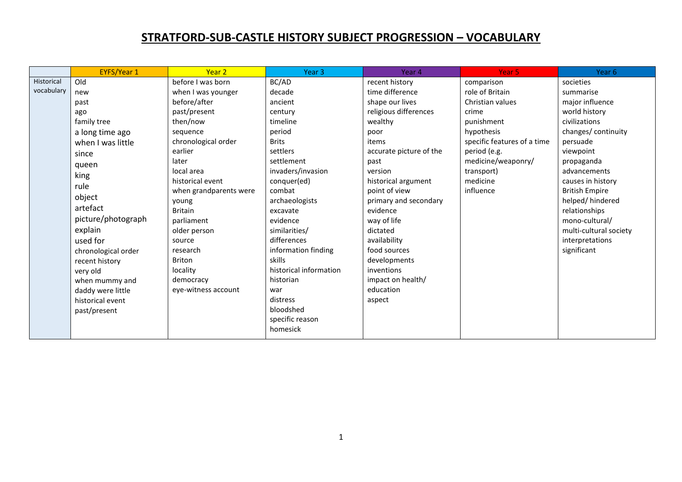## **STRATFORD-SUB-CASTLE HISTORY SUBJECT PROGRESSION – VOCABULARY**

|            | <b>EYFS/Year 1</b>  | Year 2                 | Year <sub>3</sub>      | Year 4                  | Year <sub>5</sub>           | Year 6                 |
|------------|---------------------|------------------------|------------------------|-------------------------|-----------------------------|------------------------|
| Historical | Old                 | before I was born      | BC/AD                  | recent history          | comparison                  | societies              |
| vocabulary | new                 | when I was younger     | decade                 | time difference         | role of Britain             | summarise              |
|            | past                | before/after           | ancient                | shape our lives         | Christian values            | major influence        |
|            | ago                 | past/present           | century                | religious differences   | crime                       | world history          |
|            | family tree         | then/now               | timeline               | wealthy                 | punishment                  | civilizations          |
|            | a long time ago     | sequence               | period                 | poor                    | hypothesis                  | changes/ continuity    |
|            | when I was little   | chronological order    | <b>Brits</b>           | items                   | specific features of a time | persuade               |
|            | since               | earlier                | settlers               | accurate picture of the | period (e.g.                | viewpoint              |
|            | queen               | later                  | settlement             | past                    | medicine/weaponry/          | propaganda             |
|            | king                | local area             | invaders/invasion      | version                 | transport)                  | advancements           |
|            | rule                | historical event       | conquer(ed)            | historical argument     | medicine                    | causes in history      |
|            |                     | when grandparents were | combat                 | point of view           | influence                   | <b>British Empire</b>  |
|            | object              | young                  | archaeologists         | primary and secondary   |                             | helped/hindered        |
|            | artefact            | <b>Britain</b>         | excavate               | evidence                |                             | relationships          |
|            | picture/photograph  | parliament             | evidence               | way of life             |                             | mono-cultural/         |
|            | explain             | older person           | similarities/          | dictated                |                             | multi-cultural society |
|            | used for            | source                 | differences            | availability            |                             | interpretations        |
|            | chronological order | research               | information finding    | food sources            |                             | significant            |
|            | recent history      | <b>Briton</b>          | skills                 | developments            |                             |                        |
|            | very old            | locality               | historical information | inventions              |                             |                        |
|            | when mummy and      | democracy              | historian              | impact on health/       |                             |                        |
|            | daddy were little   | eye-witness account    | war                    | education               |                             |                        |
|            | historical event    |                        | distress               | aspect                  |                             |                        |
|            | past/present        |                        | bloodshed              |                         |                             |                        |
|            |                     |                        | specific reason        |                         |                             |                        |
|            |                     |                        | homesick               |                         |                             |                        |